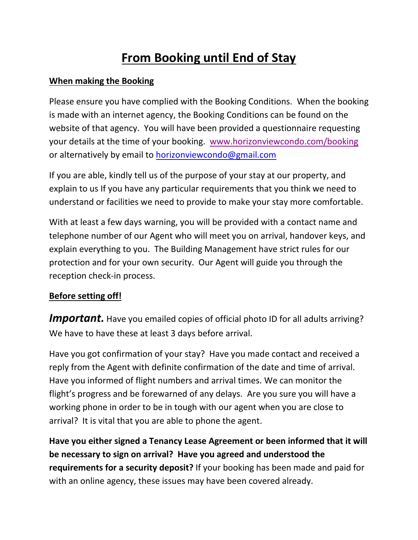# **From Booking until End of Stay**

## **When making the Booking**

Please ensure you have complied with the Booking Conditions. When the booking is made with an internet agency, the Booking Conditions can be found on the website of that agency. You will have been provided a questionnaire requesting your details at the time of your booking. [www.horizonviewcondo.com/booking](http://www.horizonviewcondo.com/booking) or alternatively by email to [horizonviewcondo@gmail.com](mailto:horizonviewcondo@gmail.com)

If you are able, kindly tell us of the purpose of your stay at our property, and explain to us If you have any particular requirements that you think we need to understand or facilities we need to provide to make your stay more comfortable.

With at least a few days warning, you will be provided with a contact name and telephone number of our Agent who will meet you on arrival, handover keys, and explain everything to you. The Building Management have strict rules for our protection and for your own security. Our Agent will guide you through the reception check-in process.

## **Before setting off!**

**Important.** Have you emailed copies of official photo ID for all adults arriving? We have to have these at least 3 days before arrival.

Have you got confirmation of your stay? Have you made contact and received a reply from the Agent with definite confirmation of the date and time of arrival. Have you informed of flight numbers and arrival times. We can monitor the flight's progress and be forewarned of any delays. Are you sure you will have a working phone in order to be in tough with our agent when you are close to arrival? It is vital that you are able to phone the agent.

**Have you either signed a Tenancy Lease Agreement or been informed that it will be necessary to sign on arrival? Have you agreed and understood the requirements for a security deposit?** If your booking has been made and paid for with an online agency, these issues may have been covered already.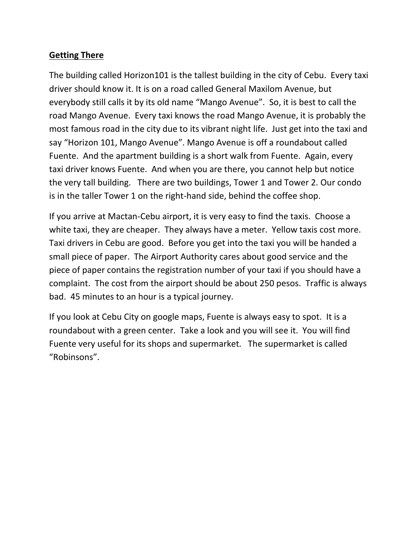## **Getting There**

The building called Horizon101 is the tallest building in the city of Cebu. Every taxi driver should know it. It is on a road called General Maxilom Avenue, but everybody still calls it by its old name "Mango Avenue". So, it is best to call the road Mango Avenue. Every taxi knows the road Mango Avenue, it is probably the most famous road in the city due to its vibrant night life. Just get into the taxi and say "Horizon 101, Mango Avenue". Mango Avenue is off a roundabout called Fuente. And the apartment building is a short walk from Fuente. Again, every taxi driver knows Fuente. And when you are there, you cannot help but notice the very tall building. There are two buildings, Tower 1 and Tower 2. Our condo is in the taller Tower 1 on the right-hand side, behind the coffee shop.

If you arrive at Mactan-Cebu airport, it is very easy to find the taxis. Choose a white taxi, they are cheaper. They always have a meter. Yellow taxis cost more. Taxi drivers in Cebu are good. Before you get into the taxi you will be handed a small piece of paper. The Airport Authority cares about good service and the piece of paper contains the registration number of your taxi if you should have a complaint. The cost from the airport should be about 250 pesos. Traffic is always bad. 45 minutes to an hour is a typical journey.

If you look at Cebu City on google maps, Fuente is always easy to spot. It is a roundabout with a green center. Take a look and you will see it. You will find Fuente very useful for its shops and supermarket. The supermarket is called "Robinsons".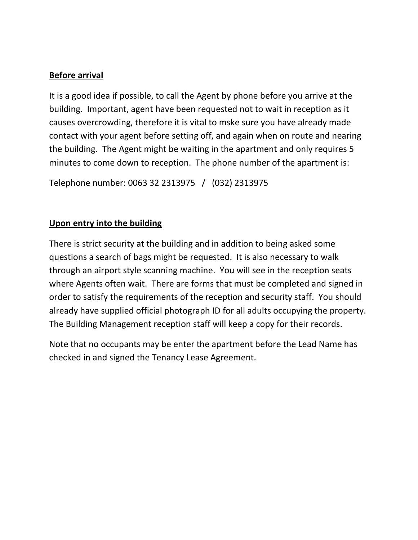### **Before arrival**

It is a good idea if possible, to call the Agent by phone before you arrive at the building. Important, agent have been requested not to wait in reception as it causes overcrowding, therefore it is vital to mske sure you have already made contact with your agent before setting off, and again when on route and nearing the building. The Agent might be waiting in the apartment and only requires 5 minutes to come down to reception. The phone number of the apartment is:

Telephone number: 0063 32 2313975 / (032) 2313975

### **Upon entry into the building**

There is strict security at the building and in addition to being asked some questions a search of bags might be requested. It is also necessary to walk through an airport style scanning machine. You will see in the reception seats where Agents often wait. There are forms that must be completed and signed in order to satisfy the requirements of the reception and security staff. You should already have supplied official photograph ID for all adults occupying the property. The Building Management reception staff will keep a copy for their records.

Note that no occupants may be enter the apartment before the Lead Name has checked in and signed the Tenancy Lease Agreement.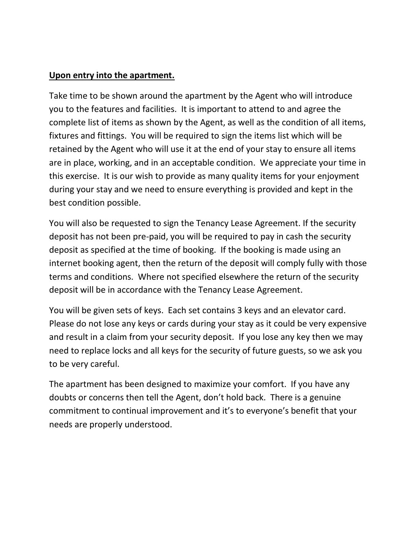#### **Upon entry into the apartment.**

Take time to be shown around the apartment by the Agent who will introduce you to the features and facilities. It is important to attend to and agree the complete list of items as shown by the Agent, as well as the condition of all items, fixtures and fittings. You will be required to sign the items list which will be retained by the Agent who will use it at the end of your stay to ensure all items are in place, working, and in an acceptable condition. We appreciate your time in this exercise. It is our wish to provide as many quality items for your enjoyment during your stay and we need to ensure everything is provided and kept in the best condition possible.

You will also be requested to sign the Tenancy Lease Agreement. If the security deposit has not been pre-paid, you will be required to pay in cash the security deposit as specified at the time of booking. If the booking is made using an internet booking agent, then the return of the deposit will comply fully with those terms and conditions. Where not specified elsewhere the return of the security deposit will be in accordance with the Tenancy Lease Agreement.

You will be given sets of keys. Each set contains 3 keys and an elevator card. Please do not lose any keys or cards during your stay as it could be very expensive and result in a claim from your security deposit. If you lose any key then we may need to replace locks and all keys for the security of future guests, so we ask you to be very careful.

The apartment has been designed to maximize your comfort. If you have any doubts or concerns then tell the Agent, don't hold back. There is a genuine commitment to continual improvement and it's to everyone's benefit that your needs are properly understood.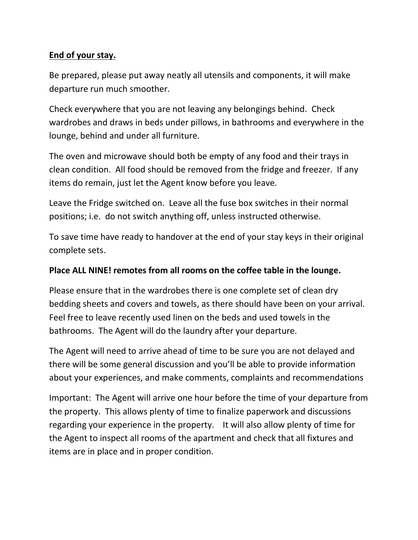## **End of your stay.**

Be prepared, please put away neatly all utensils and components, it will make departure run much smoother.

Check everywhere that you are not leaving any belongings behind. Check wardrobes and draws in beds under pillows, in bathrooms and everywhere in the lounge, behind and under all furniture.

The oven and microwave should both be empty of any food and their trays in clean condition. All food should be removed from the fridge and freezer. If any items do remain, just let the Agent know before you leave.

Leave the Fridge switched on. Leave all the fuse box switches in their normal positions; i.e. do not switch anything off, unless instructed otherwise.

To save time have ready to handover at the end of your stay keys in their original complete sets.

#### **Place ALL NINE! remotes from all rooms on the coffee table in the lounge.**

Please ensure that in the wardrobes there is one complete set of clean dry bedding sheets and covers and towels, as there should have been on your arrival. Feel free to leave recently used linen on the beds and used towels in the bathrooms. The Agent will do the laundry after your departure.

The Agent will need to arrive ahead of time to be sure you are not delayed and there will be some general discussion and you'll be able to provide information about your experiences, and make comments, complaints and recommendations

Important: The Agent will arrive one hour before the time of your departure from the property. This allows plenty of time to finalize paperwork and discussions regarding your experience in the property. It will also allow plenty of time for the Agent to inspect all rooms of the apartment and check that all fixtures and items are in place and in proper condition.